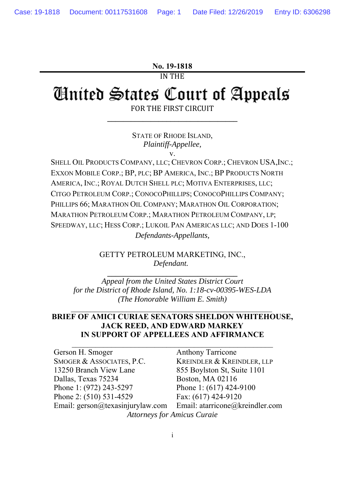#### **No. 19-1818**

IN THE

# **Cinited States Court of Appeals** FOR THE FIRST CIRCUIT

STATE OF RHODE ISLAND, *Plaintiff-Appellee,*  v.

**\_\_\_\_\_\_\_\_\_\_\_\_\_\_\_\_\_\_\_\_\_\_\_\_\_\_\_\_\_\_\_\_\_** 

SHELL OIL PRODUCTS COMPANY, LLC; CHEVRON CORP.; CHEVRON USA, INC.; EXXON MOBILE CORP.; BP, PLC; BP AMERICA, INC.; BP PRODUCTS NORTH AMERICA, INC.; ROYAL DUTCH SHELL PLC; MOTIVA ENTERPRISES, LLC; CITGO PETROLEUM CORP.; CONOCOPHILLIPS; CONOCOPHILLIPS COMPANY; PHILLIPS 66; MARATHON OIL COMPANY; MARATHON OIL CORPORATION; MARATHON PETROLEUM CORP.; MARATHON PETROLEUM COMPANY, LP; SPEEDWAY, LLC; HESS CORP.; LUKOIL PAN AMERICAS LLC; AND DOES 1-100 *Defendants-Appellants,* 

> GETTY PETROLEUM MARKETING, INC., *Defendant.*

**\_\_\_\_\_\_\_\_\_\_\_\_\_\_\_\_\_\_\_\_\_\_\_\_\_\_\_\_\_\_\_\_\_** 

*Appeal from the United States District Court for the District of Rhode Island, No. 1:18-cv-00395-WES-LDA (The Honorable William E. Smith)* 

### **BRIEF OF AMICI CURIAE SENATORS SHELDON WHITEHOUSE, JACK REED, AND EDWARD MARKEY IN SUPPORT OF APPELLEES AND AFFIRMANCE**

 $\mathcal{L}_\text{max}$  , and the contribution of the contribution of the contribution of the contribution of the contribution of the contribution of the contribution of the contribution of the contribution of the contribution of t

 $\mathcal{L}_\text{max}$  and the contract of the contract of the contract of the contract of the contract of the contract of the contract of the contract of the contract of the contract of the contract of the contract of the contrac

| Gerson H. Smoger                   | <b>Anthony Tarricone</b>        |
|------------------------------------|---------------------------------|
| SMOGER & ASSOCIATES, P.C.          | KREINDLER & KREINDLER, LLP      |
| 13250 Branch View Lane             | 855 Boylston St, Suite 1101     |
| Dallas, Texas 75234                | Boston, MA 02116                |
| Phone 1: (972) 243-5297            | Phone 1: (617) 424-9100         |
| Phone 2: (510) 531-4529            | Fax: (617) 424-9120             |
| Email: gerson@texasinjurylaw.com   | Email: atarricone@kreindler.com |
| <b>Attorneys for Amicus Curaie</b> |                                 |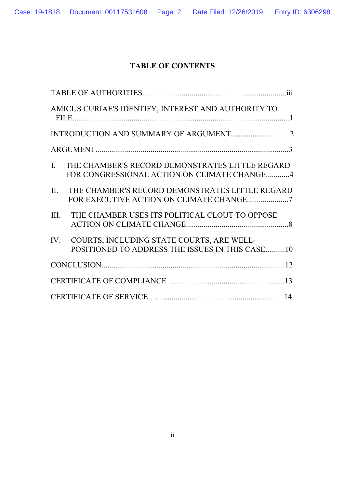# **TABLE OF CONTENTS**

| AMICUS CURIAE'S IDENTIFY, INTEREST AND AUTHORITY TO                                                  |
|------------------------------------------------------------------------------------------------------|
|                                                                                                      |
|                                                                                                      |
| I.<br>THE CHAMBER'S RECORD DEMONSTRATES LITTLE REGARD<br>FOR CONGRESSIONAL ACTION ON CLIMATE CHANGE4 |
| II.<br>THE CHAMBER'S RECORD DEMONSTRATES LITTLE REGARD<br>FOR EXECUTIVE ACTION ON CLIMATE CHANGE7    |
| THE CHAMBER USES ITS POLITICAL CLOUT TO OPPOSE<br>III.                                               |
| IV. COURTS, INCLUDING STATE COURTS, ARE WELL-<br>POSITIONED TO ADDRESS THE ISSUES IN THIS CASE10     |
|                                                                                                      |
|                                                                                                      |
|                                                                                                      |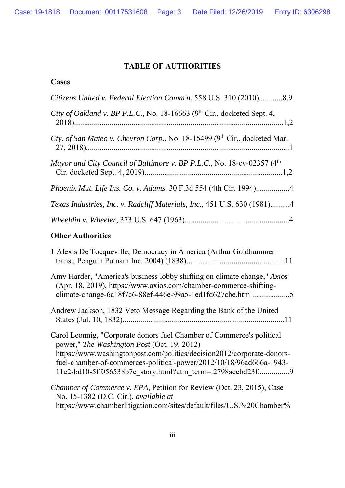Case: 19-1818 Document: 00117531608 Page: 3 Date Filed: 12/26/2019 Entry ID: 6306298

# **TABLE OF AUTHORITIES**

# **Cases**

| Citizens United v. Federal Election Comm'n, 558 U.S. 310 (2010)8,9         |
|----------------------------------------------------------------------------|
| City of Oakland v. BP P.L.C., No. 18-16663 ( $9th$ Cir., docketed Sept. 4, |
| Cty. of San Mateo v. Chevron Corp., No. 18-15499 (9th Cir., docketed Mar.  |
| Mayor and City Council of Baltimore v. BP P.L.C., No. 18-cv-02357 $(4th$   |
| Phoenix Mut. Life Ins. Co. v. Adams, 30 F.3d 554 (4th Cir. 1994)4          |
| Texas Industries, Inc. v. Radcliff Materials, Inc., 451 U.S. 630 (1981)4   |
|                                                                            |

# **Other Authorities**

| 1 Alexis De Tocqueville, Democracy in America (Arthur Goldhammer                                                                                                                                                                                                                                                                   |
|------------------------------------------------------------------------------------------------------------------------------------------------------------------------------------------------------------------------------------------------------------------------------------------------------------------------------------|
| Amy Harder, "America's business lobby shifting on climate change," Axios<br>(Apr. 18, 2019), https://www.axios.com/chamber-commerce-shifting-<br>climate-change-6a18f7c6-88ef-446e-99a5-1ed1fd627cbe.html5                                                                                                                         |
| Andrew Jackson, 1832 Veto Message Regarding the Bank of the United                                                                                                                                                                                                                                                                 |
| Carol Leonnig, "Corporate donors fuel Chamber of Commerce's political<br>power," The Washington Post (Oct. 19, 2012)<br>https://www.washingtonpost.com/politics/decision2012/corporate-donors-<br>fuel-chamber-of-commerces-political-power/2012/10/18/96ad666a-1943-<br>11e2-bd10-5ff056538b7c story.html?utm term=.2798acebd23f9 |
| Chamber of Commerce v. EPA, Petition for Review (Oct. 23, 2015), Case<br>No. 15-1382 (D.C. Cir.), available at                                                                                                                                                                                                                     |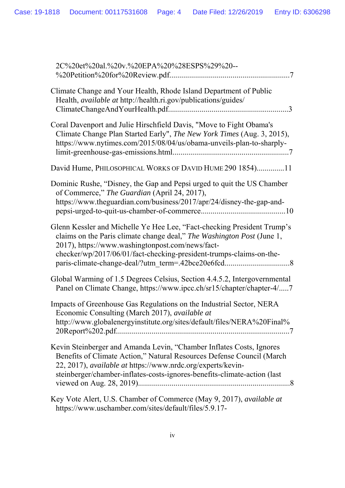| 2C%20et%20al.%20v.%20EPA%20%28ESPS%29%20--                                                                                                                                                                                                                                               |
|------------------------------------------------------------------------------------------------------------------------------------------------------------------------------------------------------------------------------------------------------------------------------------------|
| Climate Change and Your Health, Rhode Island Department of Public<br>Health, available at http://health.ri.gov/publications/guides/                                                                                                                                                      |
| Coral Davenport and Julie Hirschfield Davis, "Move to Fight Obama's<br>Climate Change Plan Started Early", The New York Times (Aug. 3, 2015),<br>https://www.nytimes.com/2015/08/04/us/obama-unveils-plan-to-sharply-                                                                    |
| David Hume, PHILOSOPHICAL WORKS OF DAVID HUME 290 1854)11                                                                                                                                                                                                                                |
| Dominic Rushe, "Disney, the Gap and Pepsi urged to quit the US Chamber<br>of Commerce," The Guardian (April 24, 2017),<br>https://www.theguardian.com/business/2017/apr/24/disney-the-gap-and-                                                                                           |
| Glenn Kessler and Michelle Ye Hee Lee, "Fact-checking President Trump's<br>claims on the Paris climate change deal," The Washington Post (June 1,<br>2017), https://www.washingtonpost.com/news/fact-<br>checker/wp/2017/06/01/fact-checking-president-trumps-claims-on-the-             |
| Global Warming of 1.5 Degrees Celsius, Section 4.4.5.2, Intergovernmental<br>Panel on Climate Change, https://www.ipcc.ch/sr15/chapter/chapter-4/7                                                                                                                                       |
| Impacts of Greenhouse Gas Regulations on the Industrial Sector, NERA<br>Economic Consulting (March 2017), available at<br>http://www.globalenergyinstitute.org/sites/default/files/NERA%20Final%                                                                                         |
| Kevin Steinberger and Amanda Levin, "Chamber Inflates Costs, Ignores<br>Benefits of Climate Action," Natural Resources Defense Council (March<br>22, 2017), available at https://www.nrdc.org/experts/kevin-<br>steinberger/chamber-inflates-costs-ignores-benefits-climate-action (last |
| Key Vote Alert, U.S. Chamber of Commerce (May 9, 2017), available at<br>https://www.uschamber.com/sites/default/files/5.9.17-                                                                                                                                                            |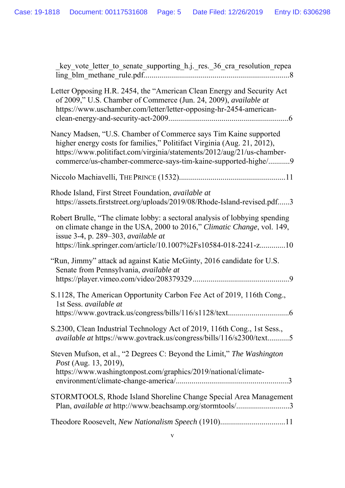| key_vote_letter_to_senate_supporting_h.j._res._36_cra_resolution_repea                                                                                                                                                                                                                  |
|-----------------------------------------------------------------------------------------------------------------------------------------------------------------------------------------------------------------------------------------------------------------------------------------|
| Letter Opposing H.R. 2454, the "American Clean Energy and Security Act<br>of 2009," U.S. Chamber of Commerce (Jun. 24, 2009), available at<br>https://www.uschamber.com/letter/letter-opposing-hr-2454-american-                                                                        |
| Nancy Madsen, "U.S. Chamber of Commerce says Tim Kaine supported<br>higher energy costs for families," Politifact Virginia (Aug. 21, 2012),<br>https://www.politifact.com/virginia/statements/2012/aug/21/us-chamber-<br>commerce/us-chamber-commerce-says-tim-kaine-supported-highe/ 9 |
|                                                                                                                                                                                                                                                                                         |
| Rhode Island, First Street Foundation, available at<br>https://assets.firststreet.org/uploads/2019/08/Rhode-Island-revised.pdf3                                                                                                                                                         |
| Robert Brulle, "The climate lobby: a sectoral analysis of lobbying spending<br>on climate change in the USA, 2000 to 2016," Climatic Change, vol. 149,<br>issue 3-4, p. 289–303, available at<br>https://link.springer.com/article/10.1007%2Fs10584-018-2241-z10                        |
| "Run, Jimmy" attack ad against Katie McGinty, 2016 candidate for U.S.<br>Senate from Pennsylvania, available at                                                                                                                                                                         |
| S.1128, The American Opportunity Carbon Fee Act of 2019, 116th Cong.,<br>1st Sess. available at                                                                                                                                                                                         |
| S.2300, Clean Industrial Technology Act of 2019, 116th Cong., 1st Sess.,<br>available at https://www.govtrack.us/congress/bills/116/s2300/text5                                                                                                                                         |
| Steven Mufson, et al., "2 Degrees C: Beyond the Limit," The Washington<br>Post (Aug. 13, 2019),<br>https://www.washingtonpost.com/graphics/2019/national/climate-                                                                                                                       |
| STORMTOOLS, Rhode Island Shoreline Change Special Area Management<br>Plan, available at http://www.beachsamp.org/stormtools/3                                                                                                                                                           |
|                                                                                                                                                                                                                                                                                         |
|                                                                                                                                                                                                                                                                                         |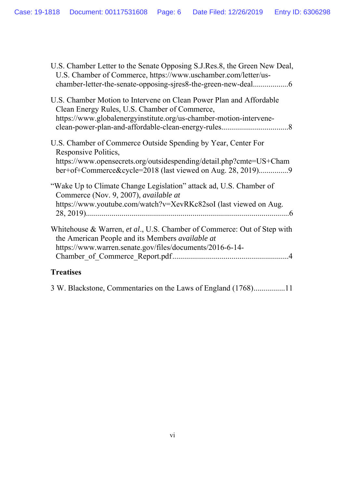| U.S. Chamber Letter to the Senate Opposing S.J.Res.8, the Green New Deal,<br>U.S. Chamber of Commerce, https://www.uschamber.com/letter/us-                                                                               |
|---------------------------------------------------------------------------------------------------------------------------------------------------------------------------------------------------------------------------|
| U.S. Chamber Motion to Intervene on Clean Power Plan and Affordable<br>Clean Energy Rules, U.S. Chamber of Commerce,<br>https://www.globalenergyinstitute.org/us-chamber-motion-intervene-                                |
| U.S. Chamber of Commerce Outside Spending by Year, Center For<br>Responsive Politics,<br>https://www.opensecrets.org/outsidespending/detail.php?cmte=US+Cham<br>ber+of+Commerce&cycle=2018 (last viewed on Aug. 28, 2019) |
| "Wake Up to Climate Change Legislation" attack ad, U.S. Chamber of<br>Commerce (Nov. 9, 2007), available at<br>https://www.youtube.com/watch?v=XevRKc82soI (last viewed on Aug.                                           |
| Whitehouse & Warren, et al., U.S. Chamber of Commerce: Out of Step with<br>the American People and its Members <i>available at</i><br>https://www.warren.senate.gov/files/documents/2016-6-14-                            |
|                                                                                                                                                                                                                           |

# **Treatises**

3 W. Blackstone, Commentaries on the Laws of England (1768) ................11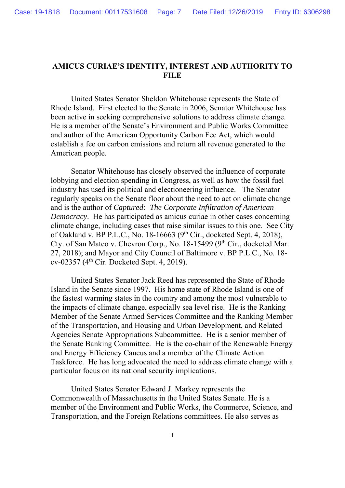### **AMICUS CURIAE'S IDENTITY, INTEREST AND AUTHORITY TO FILE**

 United States Senator Sheldon Whitehouse represents the State of Rhode Island. First elected to the Senate in 2006, Senator Whitehouse has been active in seeking comprehensive solutions to address climate change. He is a member of the Senate's Environment and Public Works Committee and author of the American Opportunity Carbon Fee Act, which would establish a fee on carbon emissions and return all revenue generated to the American people.

 Senator Whitehouse has closely observed the influence of corporate lobbying and election spending in Congress, as well as how the fossil fuel industry has used its political and electioneering influence. The Senator regularly speaks on the Senate floor about the need to act on climate change and is the author of *Captured: The Corporate Infiltration of American Democracy*. He has participated as amicus curiae in other cases concerning climate change, including cases that raise similar issues to this one. See City of Oakland v. BP P.L.C., No. 18-16663 (9th Cir., docketed Sept. 4, 2018), Cty. of San Mateo v. Chevron Corp., No. 18-15499 ( $9<sup>th</sup> Cir.$ , docketed Mar. 27, 2018); and Mayor and City Council of Baltimore v. BP P.L.C., No. 18 cv-02357 (4<sup>th</sup> Cir. Docketed Sept. 4, 2019).

 United States Senator Jack Reed has represented the State of Rhode Island in the Senate since 1997. His home state of Rhode Island is one of the fastest warming states in the country and among the most vulnerable to the impacts of climate change, especially sea level rise. He is the Ranking Member of the Senate Armed Services Committee and the Ranking Member of the Transportation, and Housing and Urban Development, and Related Agencies Senate Appropriations Subcommittee. He is a senior member of the Senate Banking Committee. He is the co-chair of the Renewable Energy and Energy Efficiency Caucus and a member of the Climate Action Taskforce. He has long advocated the need to address climate change with a particular focus on its national security implications.

 United States Senator Edward J. Markey represents the Commonwealth of Massachusetts in the United States Senate. He is a member of the Environment and Public Works, the Commerce, Science, and Transportation, and the Foreign Relations committees. He also serves as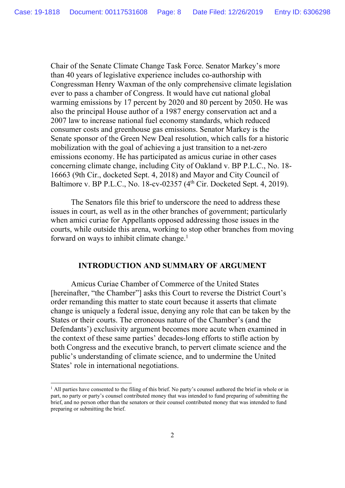Chair of the Senate Climate Change Task Force. Senator Markey's more than 40 years of legislative experience includes co-authorship with Congressman Henry Waxman of the only comprehensive climate legislation ever to pass a chamber of Congress. It would have cut national global warming emissions by 17 percent by 2020 and 80 percent by 2050. He was also the principal House author of a 1987 energy conservation act and a 2007 law to increase national fuel economy standards, which reduced consumer costs and greenhouse gas emissions. Senator Markey is the Senate sponsor of the Green New Deal resolution, which calls for a historic mobilization with the goal of achieving a just transition to a net-zero emissions economy. He has participated as amicus curiae in other cases concerning climate change, including City of Oakland v. BP P.L.C., No. 18- 16663 (9th Cir., docketed Sept. 4, 2018) and Mayor and City Council of Baltimore v. BP P.L.C., No. 18-cv-02357 (4th Cir. Docketed Sept. 4, 2019).

 The Senators file this brief to underscore the need to address these issues in court, as well as in the other branches of government; particularly when amici curiae for Appellants opposed addressing those issues in the courts, while outside this arena, working to stop other branches from moving forward on ways to inhibit climate change.<sup>1</sup>

#### **INTRODUCTION AND SUMMARY OF ARGUMENT**

 Amicus Curiae Chamber of Commerce of the United States [hereinafter, "the Chamber"] asks this Court to reverse the District Court's order remanding this matter to state court because it asserts that climate change is uniquely a federal issue, denying any role that can be taken by the States or their courts. The erroneous nature of the Chamber's (and the Defendants') exclusivity argument becomes more acute when examined in the context of these same parties' decades-long efforts to stifle action by both Congress and the executive branch, to pervert climate science and the public's understanding of climate science, and to undermine the United States' role in international negotiations.

<sup>&</sup>lt;sup>1</sup> All parties have consented to the filing of this brief. No party's counsel authored the brief in whole or in part, no party or party's counsel contributed money that was intended to fund preparing of submitting the brief, and no person other than the senators or their counsel contributed money that was intended to fund preparing or submitting the brief.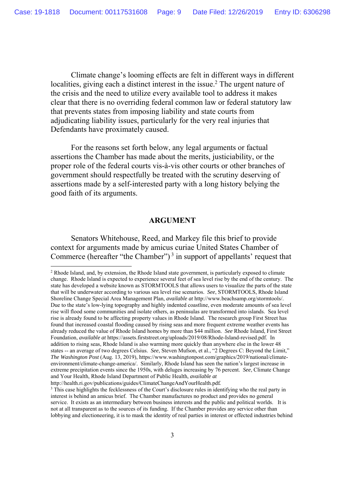Climate change's looming effects are felt in different ways in different localities, giving each a distinct interest in the issue.<sup>2</sup> The urgent nature of the crisis and the need to utilize every available tool to address it makes clear that there is no overriding federal common law or federal statutory law that prevents states from imposing liability and state courts from adjudicating liability issues, particularly for the very real injuries that Defendants have proximately caused.

 For the reasons set forth below, any legal arguments or factual assertions the Chamber has made about the merits, justiciability, or the proper role of the federal courts vis-à-vis other courts or other branches of government should respectfully be treated with the scrutiny deserving of assertions made by a self-interested party with a long history belying the good faith of its arguments.

#### **ARGUMENT**

 Senators Whitehouse, Reed, and Markey file this brief to provide context for arguments made by amicus curiae United States Chamber of Commerce (hereafter "the Chamber")<sup>3</sup> in support of appellants' request that

<sup>&</sup>lt;sup>2</sup> Rhode Island, and, by extension, the Rhode Island state government, is particularly exposed to climate change. Rhode Island is expected to experience several feet of sea level rise by the end of the century. The state has developed a website known as STORMTOOLS that allows users to visualize the parts of the state that will be underwater according to various sea level rise scenarios. *See*, STORMTOOLS, Rhode Island Shoreline Change Special Area Management Plan, *available at* http://www.beachsamp.org/stormtools/. Due to the state's low-lying topography and highly indented coastline, even moderate amounts of sea level rise will flood some communities and isolate others, as peninsulas are transformed into islands. Sea level rise is already found to be affecting property values in Rhode Island. The research group First Street has found that increased coastal flooding caused by rising seas and more frequent extreme weather events has already reduced the value of Rhode Island homes by more than \$44 million. *See* Rhode Island, First Street Foundation, *available at* https://assets.firststreet.org/uploads/2019/08/Rhode-Island-revised.pdf. In addition to rising seas, Rhode Island is also warming more quickly than anywhere else in the lower 48 states -- an average of two degrees Celsius. *See*, Steven Mufson, et al., "2 Degrees C: Beyond the Limit," *The Washington Post* (Aug. 13, 2019), https://www.washingtonpost.com/graphics/2019/national/climateenvironment/climate-change-america/. Similarly, Rhode Island has seen the nation's largest increase in extreme precipitation events since the 1950s, with deluges increasing by 76 percent. *See*, Climate Change and Your Health, Rhode Island Department of Public Health, *available at* http://health.ri.gov/publications/guides/ClimateChangeAndYourHealth.pdf.

<sup>&</sup>lt;sup>3</sup> This case highlights the fecklessness of the Court's disclosure rules in identifying who the real party in interest is behind an amicus brief. The Chamber manufactures no product and provides no general service. It exists as an intermediary between business interests and the public and political worlds. It is not at all transparent as to the sources of its funding. If the Chamber provides any service other than lobbying and electioneering, it is to mask the identity of real parties in interest or effected industries behind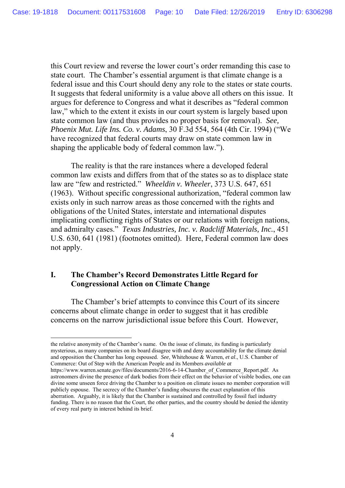this Court review and reverse the lower court's order remanding this case to state court. The Chamber's essential argument is that climate change is a federal issue and this Court should deny any role to the states or state courts. It suggests that federal uniformity is a value above all others on this issue. It argues for deference to Congress and what it describes as "federal common law," which to the extent it exists in our court system is largely based upon state common law (and thus provides no proper basis for removal). *See, Phoenix Mut. Life Ins. Co. v. Adams*, 30 F.3d 554, 564 (4th Cir. 1994) ("We have recognized that federal courts may draw on state common law in shaping the applicable body of federal common law.").

 The reality is that the rare instances where a developed federal common law exists and differs from that of the states so as to displace state law are "few and restricted." *Wheeldin v. Wheeler*, 373 U.S. 647, 651 (1963). Without specific congressional authorization, "federal common law exists only in such narrow areas as those concerned with the rights and obligations of the United States, interstate and international disputes implicating conflicting rights of States or our relations with foreign nations, and admiralty cases." *Texas Industries, Inc. v. Radcliff Materials, Inc.*, 451 U.S. 630, 641 (1981) (footnotes omitted). Here, Federal common law does not apply.

# **I. The Chamber's Record Demonstrates Little Regard for Congressional Action on Climate Change**

l

 The Chamber's brief attempts to convince this Court of its sincere concerns about climate change in order to suggest that it has credible concerns on the narrow jurisdictional issue before this Court. However,

the relative anonymity of the Chamber's name. On the issue of climate, its funding is particularly mysterious, as many companies on its board disagree with and deny accountability for the climate denial and opposition the Chamber has long espoused. *See*, Whitehouse & Warren, *et al*., U.S. Chamber of Commerce: Out of Step with the American People and its Members *available at* https://www.warren.senate.gov/files/documents/2016-6-14-Chamber\_of\_Commerce\_Report.pdf. As

astronomers divine the presence of dark bodies from their effect on the behavior of visible bodies, one can divine some unseen force driving the Chamber to a position on climate issues no member corporation will publicly espouse. The secrecy of the Chamber's funding obscures the exact explanation of this aberration. Arguably, it is likely that the Chamber is sustained and controlled by fossil fuel industry funding. There is no reason that the Court, the other parties, and the country should be denied the identity of every real party in interest behind its brief.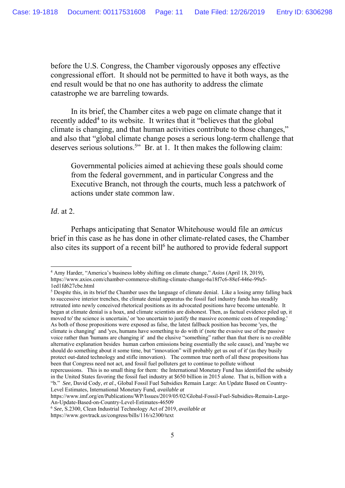before the U.S. Congress, the Chamber vigorously opposes any effective congressional effort. It should not be permitted to have it both ways, as the end result would be that no one has authority to address the climate catastrophe we are barreling towards.

 In its brief, the Chamber cites a web page on climate change that it recently added<sup>4</sup> to its website. It writes that it "believes that the global climate is changing, and that human activities contribute to those changes," and also that "global climate change poses a serious long-term challenge that deserves serious solutions.<sup>5</sup>" Br. at 1. It then makes the following claim:

Governmental policies aimed at achieving these goals should come from the federal government, and in particular Congress and the Executive Branch, not through the courts, much less a patchwork of actions under state common law.

*Id*. at 2.

l

 Perhaps anticipating that Senator Whitehouse would file an *amicus* brief in this case as he has done in other climate-related cases, the Chamber also cites its support of a recent bill<sup>6</sup> he authored to provide federal support

<sup>4</sup> Amy Harder, "America's business lobby shifting on climate change," *Axios* (April 18, 2019), https://www.axios.com/chamber-commerce-shifting-climate-change-6a18f7c6-88ef-446e-99a5- 1ed1fd627cbe.html

<sup>&</sup>lt;sup>5</sup> Despite this, in its brief the Chamber uses the language of climate denial. Like a losing army falling back to successive interior trenches, the climate denial apparatus the fossil fuel industry funds has steadily retreated into newly conceived rhetorical positions as its advocated positions have become untenable. It began at climate denial is a hoax, and climate scientists are dishonest. Then, as factual evidence piled up, it moved to' the science is uncertain,' or 'too uncertain to justify the massive economic costs of responding.' As both of those propositions were exposed as false, the latest fallback position has become 'yes, the climate is changing' and 'yes, humans have something to do with it' (note the evasive use of the passive voice rather than 'humans are changing it' and the elusive "something" rather than that there is no credible alternative explanation besides human carbon emissions being essentially the sole cause), and 'maybe we should do something about it some time, but "innovation" will probably get us out of it' (as they busily protect out-dated technology and stifle innovation). The common true north of all these propositions has been that Congress need not act, and fossil fuel polluters get to continue to pollute without repercussions. This is no small thing for them: the International Monetary Fund has identified the subsidy in the United States favoring the fossil fuel industry at \$650 billion in 2015 alone. That is, billion with a "b." *See*, David Cody, *et al*., Global Fossil Fuel Subsidies Remain Large: An Update Based on Country-Level Estimates, International Monetary Fund, *available at*

https://www.imf.org/en/Publications/WP/Issues/2019/05/02/Global-Fossil-Fuel-Subsidies-Remain-Large-An-Update-Based-on-Country-Level-Estimates-46509

<sup>6</sup> *See*, S.2300, Clean Industrial Technology Act of 2019, *available at*

https://www.govtrack.us/congress/bills/116/s2300/text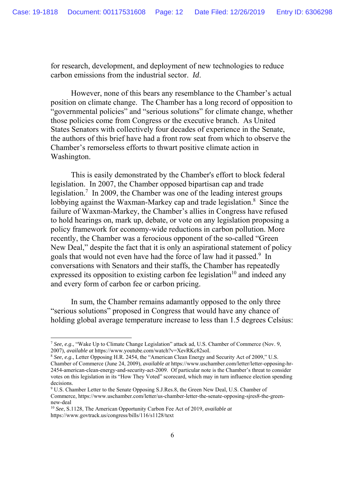for research, development, and deployment of new technologies to reduce carbon emissions from the industrial sector. *Id*.

 However, none of this bears any resemblance to the Chamber's actual position on climate change. The Chamber has a long record of opposition to "governmental policies" and "serious solutions" for climate change, whether those policies come from Congress or the executive branch. As United States Senators with collectively four decades of experience in the Senate, the authors of this brief have had a front row seat from which to observe the Chamber's remorseless efforts to thwart positive climate action in Washington.

 This is easily demonstrated by the Chamber's effort to block federal legislation. In 2007, the Chamber opposed bipartisan cap and trade legislation.<sup>7</sup> In 2009, the Chamber was one of the leading interest groups lobbying against the Waxman-Markey cap and trade legislation.<sup>8</sup> Since the failure of Waxman-Markey, the Chamber's allies in Congress have refused to hold hearings on, mark up, debate, or vote on any legislation proposing a policy framework for economy-wide reductions in carbon pollution. More recently, the Chamber was a ferocious opponent of the so-called "Green New Deal," despite the fact that it is only an aspirational statement of policy goals that would not even have had the force of law had it passed.<sup>9</sup> In conversations with Senators and their staffs, the Chamber has repeatedly expressed its opposition to existing carbon fee legislation<sup>10</sup> and indeed any and every form of carbon fee or carbon pricing.

 In sum, the Chamber remains adamantly opposed to the only three "serious solutions" proposed in Congress that would have any chance of holding global average temperature increase to less than 1.5 degrees Celsius:

<sup>7</sup> *See*, *e.g*., "Wake Up to Climate Change Legislation" attack ad, U.S. Chamber of Commerce (Nov. 9, 2007), *available at* https://www.youtube.com/watch?v=XevRKc82soI. 8 *See*, *e.g*., Letter Opposing H.R. 2454, the "American Clean Energy and Security Act of 2009," U.S.

Chamber of Commerce (June 24, 2009), *available at* https://www.uschamber.com/letter/letter-opposing-hr-2454-american-clean-energy-and-security-act-2009. Of particular note is the Chamber's threat to consider votes on this legislation in its "How They Voted" scorecard, which may in turn influence election spending decisions.

<sup>&</sup>lt;sup>9</sup> U.S. Chamber Letter to the Senate Opposing S.J.Res.8, the Green New Deal, U.S. Chamber of Commerce, https://www.uschamber.com/letter/us-chamber-letter-the-senate-opposing-sjres8-the-greennew-deal

<sup>10</sup> *See*, S.1128, The American Opportunity Carbon Fee Act of 2019, *available at* https://www.govtrack.us/congress/bills/116/s1128/text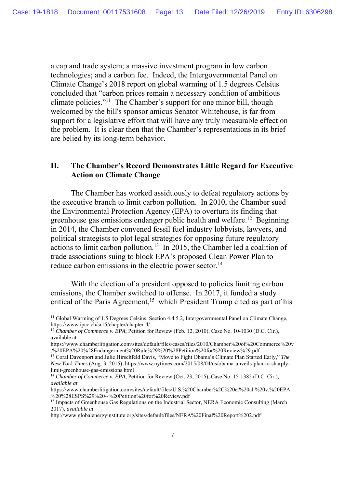a cap and trade system; a massive investment program in low carbon technologies; and a carbon fee. Indeed, the Intergovernmental Panel on Climate Change's 2018 report on global warming of 1.5 degrees Celsius concluded that "carbon prices remain a necessary condition of ambitious climate policies."11 The Chamber's support for one minor bill, though welcomed by the bill's sponsor amicus Senator Whitehouse, is far from support for a legislative effort that will have any truly measurable effect on the problem. It is clear then that the Chamber's representations in its brief are belied by its long-term behavior.

## **II. The Chamber's Record Demonstrates Little Regard for Executive Action on Climate Change**

 The Chamber has worked assiduously to defeat regulatory actions by the executive branch to limit carbon pollution. In 2010, the Chamber sued the Environmental Protection Agency (EPA) to overturn its finding that greenhouse gas emissions endanger public health and welfare.12 Beginning in 2014, the Chamber convened fossil fuel industry lobbyists, lawyers, and political strategists to plot legal strategies for opposing future regulatory actions to limit carbon pollution.<sup>13</sup> In 2015, the Chamber led a coalition of trade associations suing to block EPA's proposed Clean Power Plan to reduce carbon emissions in the electric power sector.<sup>14</sup>

With the election of a president opposed to policies limiting carbon emissions, the Chamber switched to offense. In 2017, it funded a study critical of the Paris Agreement,<sup>15</sup> which President Trump cited as part of his

<sup>&</sup>lt;sup>11</sup> Global Warming of 1.5 Degrees Celsius, Section 4.4.5.2, Intergovernmental Panel on Climate Change, https://www.ipcc.ch/sr15/chapter/chapter-4/

<sup>12</sup> *Chamber of Commerce v. EPA*, Petition for Review (Feb. 12, 2010), Case No. 10-1030 (D.C. Cir.), available at

https://www.chamberlitigation.com/sites/default/files/cases/files/2010/Chamber%20of%20Commerce%20v .%20EPA%20%28Endangerment%20Rule%29%20%28Petition%20for%20Review%29.pdf 13 Coral Davenport and Julie Hirschfeld Davis, "Move to Fight Obama's Climate Plan Started Early," *The* 

*New York Times* (Aug. 3, 2015), https://www.nytimes.com/2015/08/04/us/obama-unveils-plan-to-sharplylimit-greenhouse-gas-emissions.html

<sup>14</sup> *Chamber of Commerce v. EPA*, Petition for Review (Oct. 23, 2015), Case No. 15-1382 (D.C. Cir.), *available at*

https://www.chamberlitigation.com/sites/default/files/U.S.%20Chamber%2C%20et%20al.%20v.%20EPA %20%28ESPS%29%20--%20Petition%20for%20Review.pdf

<sup>&</sup>lt;sup>15</sup> Impacts of Greenhouse Gas Regulations on the Industrial Sector, NERA Economic Consulting (March 2017), *available at*

http://www.globalenergyinstitute.org/sites/default/files/NERA%20Final%20Report%202.pdf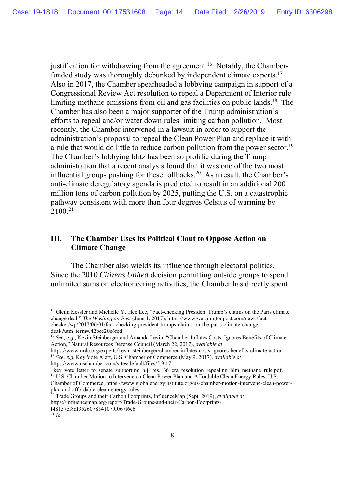justification for withdrawing from the agreement.<sup>16</sup> Notably, the Chamberfunded study was thoroughly debunked by independent climate experts.<sup>17</sup> Also in 2017, the Chamber spearheaded a lobbying campaign in support of a Congressional Review Act resolution to repeal a Department of Interior rule limiting methane emissions from oil and gas facilities on public lands.<sup>18</sup> The Chamber has also been a major supporter of the Trump administration's efforts to repeal and/or water down rules limiting carbon pollution. Most recently, the Chamber intervened in a lawsuit in order to support the administration's proposal to repeal the Clean Power Plan and replace it with a rule that would do little to reduce carbon pollution from the power sector.<sup>19</sup> The Chamber's lobbying blitz has been so prolific during the Trump administration that a recent analysis found that it was one of the two most influential groups pushing for these rollbacks.<sup>20</sup> As a result, the Chamber's anti-climate deregulatory agenda is predicted to result in an additional 200 million tons of carbon pollution by 2025, putting the U.S. on a catastrophic pathway consistent with more than four degrees Celsius of warming by  $2100^{21}$ 

# **III. The Chamber Uses its Political Clout to Oppose Action on Climate Change**

 The Chamber also wields its influence through electoral politics. Since the 2010 *Citizens United* decision permitting outside groups to spend unlimited sums on electioneering activities, the Chamber has directly spent

<sup>&</sup>lt;sup>16</sup> Glenn Kessler and Michelle Ye Hee Lee, "Fact-checking President Trump's claims on the Paris climate change deal," *The Washington Post* (June 1, 2017), https://www.washingtonpost.com/news/factchecker/wp/2017/06/01/fact-checking-president-trumps-claims-on-the-paris-climate-changedeal/?utm\_term=.42bce20e6fcd

<sup>&</sup>lt;sup>17</sup> *See*, *e.g.*, Kevin Steinberger and Amanda Levin, "Chamber Inflates Costs, Ignores Benefits of Climate Action," Natural Resources Defense Council (March 22, 2017), *available at*

https://www.nrdc.org/experts/kevin-steinberger/chamber-inflates-costs-ignores-benefits-climate-action. 18 *See*, *e.g*. Key Vote Alert, U.S. Chamber of Commerce (May 9, 2017), *available at*

https://www.uschamber.com/sites/default/files/5.9.17-<br>
\_key\_vote\_letter\_to\_senate\_supporting\_h.j.\_res.\_36 cra resolution repealing blm methane rule.pdf.  $\frac{1}{19}$  U.S. Chamber Motion to Intervene on Clean Power Plan and Affordable Clean Energy Rules, U.S. Chamber of Commerce, https://www.globalenergyinstitute.org/us-chamber-motion-intervene-clean-powerplan-and-affordable-clean-energy-rules

<sup>20</sup> Trade Groups and their Carbon Footprints, InfluenceMap (Sept. 2019), *available at* https://influencemap.org/report/Trade-Groups-and-their-Carbon-Footprintsf48157cf8df3526078541070f067f6e6

<sup>21</sup> *Id*.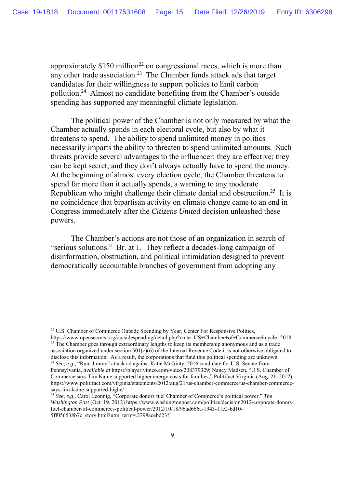approximately  $$150$  million<sup>22</sup> on congressional races, which is more than any other trade association.<sup>23</sup> The Chamber funds attack ads that target candidates for their willingness to support policies to limit carbon pollution.24 Almost no candidate benefiting from the Chamber's outside spending has supported any meaningful climate legislation.

 The political power of the Chamber is not only measured by what the Chamber actually spends in each electoral cycle, but also by what it threatens to spend. The ability to spend unlimited money in politics necessarily imparts the ability to threaten to spend unlimited amounts. Such threats provide several advantages to the influencer: they are effective; they can be kept secret; and they don't always actually have to spend the money. At the beginning of almost every election cycle, the Chamber threatens to spend far more than it actually spends, a warning to any moderate Republican who might challenge their climate denial and obstruction.<sup>25</sup> It is no coincidence that bipartisan activity on climate change came to an end in Congress immediately after the *Citizens United* decision unleashed these powers.

 The Chamber's actions are not those of an organization in search of "serious solutions." Br. at 1. They reflect a decades-long campaign of disinformation, obstruction, and political intimidation designed to prevent democratically accountable branches of government from adopting any

<sup>&</sup>lt;sup>22</sup> U.S. Chamber of Commerce Outside Spending by Year, Center For Responsive Politics,<br>https://www.opensecrets.org/outsidespending/detail.php?cmte=US+Chamber+of+Commerce&cycle=2018 <sup>23</sup> The Chamber goes through extraordinary lengths to keep its membership anonymous and as a trade association organized under section  $501(c)(6)$  of the Internal Revenue Code it is not otherwise obligated to disclose this information. As a result, the corporations that fund this political spending are unknown. 24 *See*, *e.g*., "Run, Jimmy" attack ad against Katie McGinty, 2016 candidate for U.S. Senate from Pennsylvania, *available at* https://player.vimeo.com/video/208379329; Nancy Madsen, "U.S. Chamber of Commerce says Tim Kaine supported higher energy costs for families," Politifact Virginia (Aug. 21, 2012), https://www.politifact.com/virginia/statements/2012/aug/21/us-chamber-commerce/us-chamber-commercesays-tim-kaine-supported-highe/

<sup>25</sup> *See*, *e.g*., Carol Leonnig, "Corporate donors fuel Chamber of Commerce's political power," *The Washington Post* (Oct. 19, 2012) https://www.washingtonpost.com/politics/decision2012/corporate-donorsfuel-chamber-of-commerces-political-power/2012/10/18/96ad666a-1943-11e2-bd10- 5ff056538b7c\_story.html?utm\_term=.2798acebd23f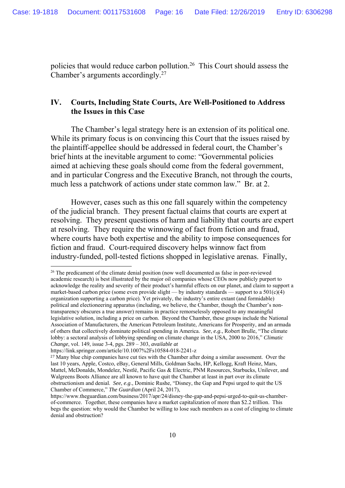policies that would reduce carbon pollution.26 This Court should assess the Chamber's arguments accordingly.<sup>27</sup>

## **IV. Courts, Including State Courts, Are Well-Positioned to Address the Issues in this Case**

 The Chamber's legal strategy here is an extension of its political one. While its primary focus is on convincing this Court that the issues raised by the plaintiff-appellee should be addressed in federal court, the Chamber's brief hints at the inevitable argument to come: "Governmental policies aimed at achieving these goals should come from the federal government, and in particular Congress and the Executive Branch, not through the courts, much less a patchwork of actions under state common law." Br. at 2.

 However, cases such as this one fall squarely within the competency of the judicial branch. They present factual claims that courts are expert at resolving. They present questions of harm and liability that courts are expert at resolving. They require the winnowing of fact from fiction and fraud, where courts have both expertise and the ability to impose consequences for fiction and fraud. Court-required discovery helps winnow fact from industry-funded, poll-tested fictions shopped in legislative arenas. Finally,

<sup>&</sup>lt;sup>26</sup> The predicament of the climate denial position (now well documented as false in peer-reviewed academic research) is best illustrated by the major oil companies whose CEOs now publicly purport to acknowledge the reality and severity of their product's harmful effects on our planet, and claim to support a market-based carbon price (some even provide slight — by industry standards — support to a  $501(c)(4)$ ) organization supporting a carbon price). Yet privately, the industry's entire extant (and formidable) political and electioneering apparatus (including, we believe, the Chamber, though the Chamber's nontransparency obscures a true answer) remains in practice remorselessly opposed to any meaningful legislative solution, including a price on carbon. Beyond the Chamber, these groups include the National Association of Manufacturers, the American Petroleum Institute, Americans for Prosperity, and an armada of others that collectively dominate political spending in America. *See*, *e.g*., Robert Brulle, "The climate lobby: a sectoral analysis of lobbying spending on climate change in the USA, 2000 to 2016," *Climatic Change*, vol. 149, issue 3-4, pgs. 289 – 303, *available at*

https://link.springer.com/article/10.1007%2Fs10584-018-2241-z

<sup>&</sup>lt;sup>27</sup> Many blue chip companies have cut ties with the Chamber after doing a similar assessment. Over the last 10 years, Apple, Costco, eBay, General Mills, Goldman Sachs, HP, Kellogg, Kraft Heinz, Mars, Mattel, McDonalds, Mondelez, Nestlé, Pacific Gas & Electric, PNM Resources, Starbucks, Unilever, and Walgreens Boots Alliance are all known to have quit the Chamber at least in part over its climate obstructionism and denial. *See*, *e.g*., Dominic Rushe, "Disney, the Gap and Pepsi urged to quit the US Chamber of Commerce," *The Guardian* (April 24, 2017),

https://www.theguardian.com/business/2017/apr/24/disney-the-gap-and-pepsi-urged-to-quit-us-chamberof-commerce. Together, these companies have a market capitalization of more than \$2.2 trillion. This begs the question: why would the Chamber be willing to lose such members as a cost of clinging to climate denial and obstruction?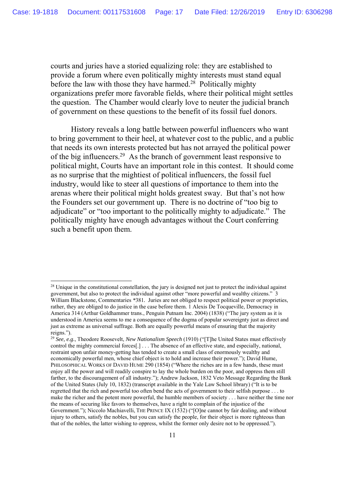courts and juries have a storied equalizing role: they are established to provide a forum where even politically mighty interests must stand equal before the law with those they have harmed.<sup>28</sup> Politically mighty organizations prefer more favorable fields, where their political might settles the question. The Chamber would clearly love to neuter the judicial branch of government on these questions to the benefit of its fossil fuel donors.

 History reveals a long battle between powerful influencers who want to bring government to their heel, at whatever cost to the public, and a public that needs its own interests protected but has not arrayed the political power of the big influencers.29 As the branch of government least responsive to political might, Courts have an important role in this contest. It should come as no surprise that the mightiest of political influencers, the fossil fuel industry, would like to steer all questions of importance to them into the arenas where their political might holds greatest sway. But that's not how the Founders set our government up. There is no doctrine of "too big to adjudicate" or "too important to the politically mighty to adjudicate." The politically mighty have enough advantages without the Court conferring such a benefit upon them.

<sup>&</sup>lt;sup>28</sup> Unique in the constitutional constellation, the jury is designed not just to protect the individual against government, but also to protect the individual against other "more powerful and wealthy citizens." 3 William Blackstone, Commentaries *\**381*.* Juries are not obliged to respect political power or proprieties, rather, they are obliged to do justice in the case before them. 1 Alexis De Tocqueville, Democracy in America 314 (Arthur Goldhammer trans., Penguin Putnam Inc. 2004) (1838) ("The jury system as it is understood in America seems to me a consequence of the dogma of popular sovereignty just as direct and just as extreme as universal suffrage. Both are equally powerful means of ensuring that the majority reigns.").

<sup>29</sup> *See, e.g.*, Theodore Roosevelt, *New Nationalism Speech* (1910) ("[T]he United States must effectively control the mighty commercial forces[.] . . . The absence of an effective state, and especially, national, restraint upon unfair money-getting has tended to create a small class of enormously wealthy and economically powerful men, whose chief object is to hold and increase their power."); David Hume*,* PHILOSOPHICAL WORKS OF DAVID HUME 290 (1854) ("Where the riches are in a few hands, these must enjoy all the power and will readily conspire to lay the whole burden on the poor, and oppress them still farther, to the discouragement of all industry."); Andrew Jackson, 1832 Veto Message Regarding the Bank of the United States (July 10, 1832) (transcript available in the Yale Law School library) ("It is to be regretted that the rich and powerful too often bend the acts of government to their selfish purpose . . . to make the richer and the potent more powerful, the humble members of society . . . have neither the time nor the means of securing like favors to themselves, have a right to complain of the injustice of the Government."); Niccolo Machiavelli, THE PRINCE IX (1532) ("[O]ne cannot by fair dealing, and without injury to others, satisfy the nobles, but you can satisfy the people, for their object is more righteous than that of the nobles, the latter wishing to oppress, whilst the former only desire not to be oppressed.").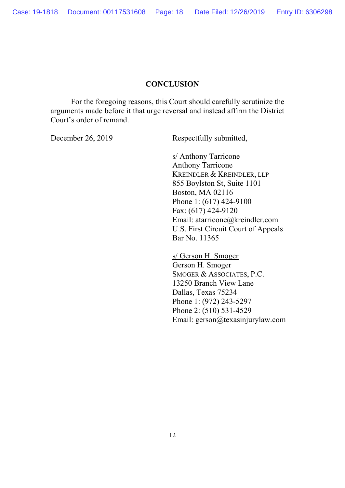# **CONCLUSION**

For the foregoing reasons, this Court should carefully scrutinize the arguments made before it that urge reversal and instead affirm the District Court's order of remand.

December 26, 2019 Respectfully submitted,

 s/ Anthony Tarricone Anthony Tarricone KREINDLER & KREINDLER, LLP 855 Boylston St, Suite 1101 Boston, MA 02116 Phone 1: (617) 424-9100 Fax: (617) 424-9120 Email: atarricone@kreindler.com U.S. First Circuit Court of Appeals Bar No. 11365

 s/ Gerson H. Smoger Gerson H. Smoger SMOGER & ASSOCIATES, P.C. 13250 Branch View Lane Dallas, Texas 75234 Phone 1: (972) 243-5297 Phone 2: (510) 531-4529 Email: gerson@texasinjurylaw.com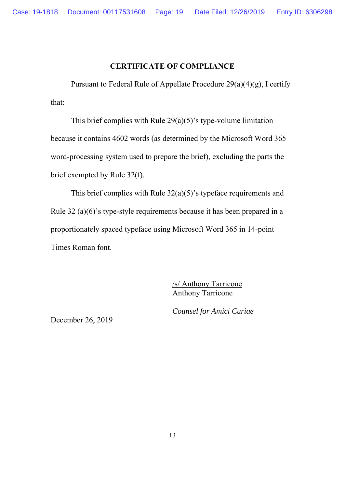### **CERTIFICATE OF COMPLIANCE**

 Pursuant to Federal Rule of Appellate Procedure 29(a)(4)(g), I certify that:

This brief complies with Rule  $29(a)(5)$ 's type-volume limitation because it contains 4602 words (as determined by the Microsoft Word 365 word-processing system used to prepare the brief), excluding the parts the brief exempted by Rule 32(f).

 This brief complies with Rule 32(a)(5)'s typeface requirements and Rule 32 (a)(6)'s type-style requirements because it has been prepared in a proportionately spaced typeface using Microsoft Word 365 in 14-point Times Roman font.

> /s/ Anthony Tarricone Anthony Tarricone

*Counsel for Amici Curiae* 

December 26, 2019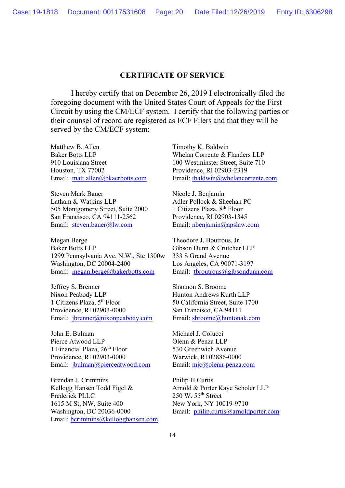#### **CERTIFICATE OF SERVICE**

I hereby certify that on December 26, 2019 I electronically filed the foregoing document with the United States Court of Appeals for the First Circuit by using the CM/ECF system. I certify that the following parties or their counsel of record are registered as ECF Filers and that they will be served by the CM/ECF system:

Matthew B. Allen Timothy K. Baldwin Baker Botts LLP Whelan Corrente & Flanders LLP 910 Louisiana Street 100 Westminster Street, Suite 710 Houston, TX 77002 Providence, RI 02903-2319

Steven Mark Bauer Nicole J. Benjamin Latham & Watkins LLP Adler Pollock & Sheehan PC 505 Montgomery Street, Suite 2000 1 Citizens Plaza, 8<sup>th</sup> Floor San Francisco, CA 94111-2562 Providence, RI 02903-1345 Email: steven.bauer@lw.com Email: nbenjamin@apslaw.com

Megan Berge Theodore J. Boutrous, Jr. Baker Botts LLP Gibson Dunn & Crutcher LLP 1299 Pennsylvania Ave. N.W., Ste 1300w 333 S Grand Avenue Washington, DC 20004-2400 Los Angeles, CA 90071-3197 Email: megan.berge@bakerbotts.com Email: tbroutrous@gibsondunn.com

Jeffrey S. Brenner Shannon S. Broome Nixon Peabody LLP<br>
1 Citizens Plaza, 5<sup>th</sup> Floor<br>
50 California Street, Suite 17 Providence, RI 02903-0000 San Francisco, CA 94111 Email: jbrenner@nixonpeabody.com Email: sbroome@huntonak.com

John E. Bulman Michael J. Colucci Pierce Atwood LLP Olenn & Penza LLP 1 Financial Plaza,  $26<sup>th</sup>$  Floor 530 Greenwich Avenue Providence, RI 02903-0000 Warwick, RI 02886-0000 Email: jbulman@pierceatwood.com Email: mjc@olenn-penza.com

Brendan J. Crimmins Philip H Curtis Kellogg Hansen Todd Figel & Arnold & Porter Kaye Scholer LLP Frederick PLLC 250 W. 55<sup>th</sup> Street 1615 M St, NW, Suite 400 New York, NY 10019-9710 Washington, DC 20036-0000 Email: philip.curtis@arnoldporter.com Email: bcrimmins@kellogghansen.com

Email: matt.allen@bkaerbotts.com Email: tbaldwin@whelancorrente.com

50 California Street, Suite 1700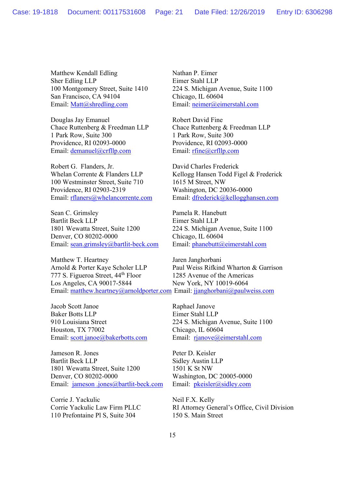Matthew Kendall Edling Nathan P. Eimer Sher Edling LLP Eimer Stahl LLP San Francisco, CA 94104 Chicago, IL 60604 Email: Matt@shredling.com Email: neimer@eimerstahl.com

Douglas Jay Emanuel Robert David Fine Chace Ruttenberg & Freedman LLP Chace Ruttenberg & Freedman LLP 1 Park Row, Suite 300 1 Park Row, Suite 300 Providence, RI 02093-0000 Providence, RI 02093-0000 Email: demanuel@crfllp.com Email: rfine@crfllp.com

Robert G. Flanders, Jr. David Charles Frederick 100 Westminster Street, Suite 710 1615 M Street, NW Providence, RI 02903-2319 Washington, DC 20036-0000

Sean C. Grimsley Pamela R. Hanebutt Bartlit Beck LLP Eimer Stahl LLP 1801 Wewatta Street, Suite 1200 224 S. Michigan Avenue, Suite 1100 Denver, CO 80202-0000 Chicago, IL 60604 Email: sean.grimsley@bartlit-beck.com Email: phanebutt@eimerstahl.com

Matthew T. Heartney Jaren Janghorbani Arnold & Porter Kaye Scholer LLP Paul Weiss Rifkind Wharton & Garrison 777 S. Figueroa Street,  $44<sup>th</sup>$  Floor 1285 Avenue of the Americas Los Angeles, CA 90017-5844 New York, NY 10019-6064 Email: matthew.heartney@arnoldporter.com Email: jjanghorbani@paulweiss.com

Jacob Scott Janoe Raphael Janove Baker Botts LLP Eimer Stahl LLP Houston, TX 77002 Chicago, IL 60604 Email: scott.janoe@bakerbotts.com Email: rjanove@eimerstahl.com

Jameson R. Jones Peter D. Keisler Bartlit Beck LLP Sidley Austin LLP 1801 Wewatta Street, Suite 1200 1501 K St NW Denver, CO 80202-0000 Washington, DC 20005-0000 Email: jameson .jones@bartlit-beck.com Email: pkeisler@sidley.com

Corrie J. Yackulic Neil F.X. Kelly 110 Prefontaine Pl S, Suite 304 150 S. Main Street

100 Montgomery Street, Suite 1410 224 S. Michigan Avenue, Suite 1100

Whelan Corrente & Flanders LLP Kellogg Hansen Todd Figel & Frederick Email: rflaners@whelancorrente.com Email: dfrederick@kellogghansen.com

910 Louisiana Street 224 S. Michigan Avenue, Suite 1100

Corrie Yackulic Law Firm PLLC RI Attorney General's Office, Civil Division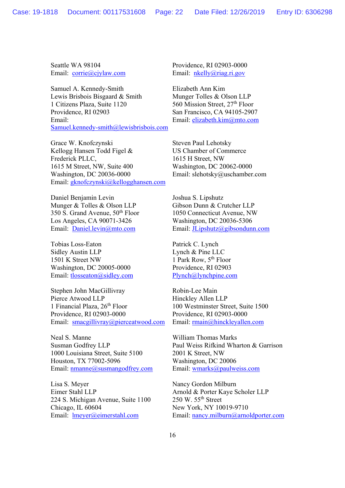Seattle WA 98104 Providence, RI 02903-0000 Email: corrie@cjylaw.com Email: nkelly@riag.ri.gov

Samuel A. Kennedy-Smith Elizabeth Ann Kim Lewis Brisbois Bisgaard & Smith Munger Tolles & Olson LLP 1 Citizens Plaza, Suite 1120 560 Mission Street, 27<sup>th</sup> Floor Providence, RI 02903 San Francisco, CA 94105-2907 Email: Email: elizabeth.kim@mto.com Samuel.kennedy-smith@lewisbrisbois.com

Grace W. Knofczynski Steven Paul Lehotsky Kellogg Hansen Todd Figel & US Chamber of Commerce Frederick PLLC, 1615 H Street, NW 1615 M Street, NW, Suite 400 Washington, DC 20062-0000 Washington, DC 20036-0000 Email: slehotsky@uschamber.com Email: gknofczynski@kellogghansen.com

Daniel Benjamin Levin Joshua S. Lipshutz Munger & Tolles & Olson LLP Gibson Dunn & Crutcher LLP 350 S. Grand Avenue, 50th Floor 1050 Connecticut Avenue, NW Los Angeles, CA 90071-3426 Washington, DC 20036-5306

Tobias Loss-Eaton Patrick C. Lynch Sidley Austin LLP Lynch & Pine LLC 1501 K Street NW 1 Park Row,  $5^{th}$  Floor Washington, DC 20005-0000 Providence, RI 02903 Email: tlosseaton@sidley.com Plynch@lynchpine.com

Stephen John MacGillivray Robin-Lee Main Pierce Atwood LLP Hinckley Allen LLP 1 Financial Plaza,  $26<sup>th</sup>$  Floor 100 Westminster Street, Suite 1500 Providence, RI 02903-0000 Providence, RI 02903-0000 Email: smacgillivray@pierceatwood.com Email: rmain@hinckleyallen.com

Neal S. Manne William Thomas Marks 1000 Louisiana Street, Suite 5100 2001 K Street, NW Houston, TX 77002-5096 Washington, DC 20006<br>
Email: <u>nmanne@susmangodfrey.com</u> Email: wmarks@paulweiss.com Email:  $n$ manne@susmangodfrey.com

Lisa S. Meyer Nancy Gordon Milburn Eimer Stahl LLP<br>
224 S. Michigan Avenue, Suite 1100<br>
250 W. 55<sup>th</sup> Street 224 S. Michigan Avenue, Suite 1100 Chicago, IL 60604 New York, NY 10019-9710

Email: Daniel.levin@mto.com Email: JLipshutz@gibsondunn.com

Susman Godfrey LLP Paul Weiss Rifkind Wharton & Garrison

Email: lmeyer@eimerstahl.com Email: nancy.milburn@arnoldporter.com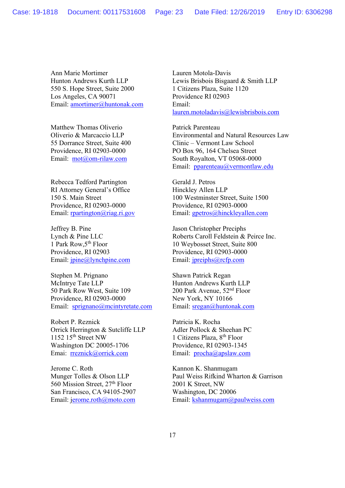Ann Marie Mortimer Lauren Motola-Davis 550 S. Hope Street, Suite 2000 1 Citizens Plaza, Suite 1120 Los Angeles, CA 90071 Providence RI 02903 Email: amortimer@huntonak.com Email:

Matthew Thomas Oliverio Patrick Parenteau

Rebecca Tedford Partington Gerald J. Petros RI Attorney General's Office Hinckley Allen LLP Providence, RI 02903-0000 Providence, RI 02903-0000

Jeffrey B. Pine Jason Christopher Preciphs Providence, RI 02903 Providence, RI 02903-0000 Email: jpine@lynchpine.com Email: jpreiphs@rcfp.com

Stephen M. Prignano Shawn Patrick Regan McIntrye Tate LLP Hunton Andrews Kurth LLP 50 Park Row West, Suite 109 200 Park Avenue, 52<sup>nd</sup> Floor Providence, RI 02903-0000 New York, NY 10166 Email: sprignano@mcintyretate.com Email: sregan@huntonak.com

Robert P. Reznick Patricia K. Rocha Orrick Herrington & Sutcliffe LLP Adler Pollock & Sheehan PC 1152 15<sup>th</sup> Street NW 1 Citizens Plaza, 8<sup>th</sup> Floor Washington DC 20005-1706 Providence, RI 02903-1345 Emai: rreznick@orrick.com Email: procha@apslaw.com

Jerome C. Roth Kannon K. Shanmugam 560 Mission Street,  $27<sup>th</sup>$  Floor 2001 K Street, NW San Francisco, CA 94105-2907 Washington, DC 20006

Hunton Andrews Kurth LLP Lewis Brisbois Bisgaard & Smith LLP lauren.motoladavis@lewisbrisbois.com

Oliverio & Marcaccio LLP Environmental and Natural Resources Law 55 Dorrance Street, Suite 400 Clinic – Vermont Law School Providence, RI 02903-0000 PO Box 96, 164 Chelsea Street Email: mot@om-rilaw.com South Royalton, VT 05068-0000 Email: pparenteau@vermontlaw.edu

150 S. Main Street 100 Westminster Street, Suite 1500 Email: <u>rpartington@riag.ri.gov</u> Email: <u>gpetros@hinckleyallen.com</u>

Lynch & Pine LLC<br>
1 Park Row, 5<sup>th</sup> Floor<br>
10 Weybosset Street, Suite 800 10 Weybosset Street, Suite 800

Munger Tolles & Olson LLP Paul Weiss Rifkind Wharton & Garrison Email: jerome.roth@moto.com Email: kshanmugam@paulweiss.com